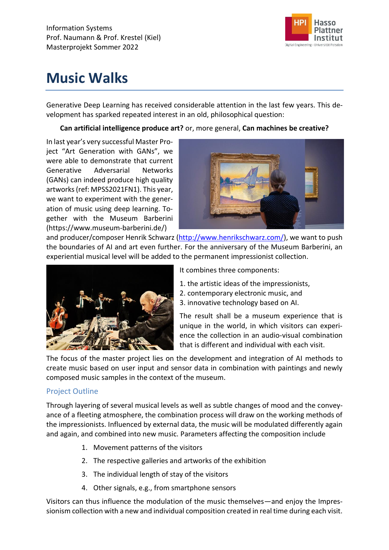

# **Music Walks**

Generative Deep Learning has received considerable attention in the last few years. This development has sparked repeated interest in an old, philosophical question:

## **Can artificial intelligence produce art?** or, more general, **Can machines be creative?**

In last year's very successful Master Project "Art Generation with GANs", we were able to demonstrate that current Generative Adversarial Networks (GANs) can indeed produce high quality artworks (ref: MPSS2021FN1). This year, we want to experiment with the generation of music using deep learning. Together with the Museum Barberini (https://www.museum-barberini.de/)



and producer/composer Henrik Schwarz [\(http://www.henrikschwarz.com/\)](http://www.henrikschwarz.com/), we want to push the boundaries of AI and art even further. For the anniversary of the Museum Barberini, an experiential musical level will be added to the permanent impressionist collection.



It combines three components:

- 1. the artistic ideas of the impressionists,
- 2. contemporary electronic music, and
- 3. innovative technology based on AI.

The result shall be a museum experience that is unique in the world, in which visitors can experience the collection in an audio-visual combination that is different and individual with each visit.

The focus of the master project lies on the development and integration of AI methods to create music based on user input and sensor data in combination with paintings and newly composed music samples in the context of the museum.

## Project Outline

Through layering of several musical levels as well as subtle changes of mood and the conveyance of a fleeting atmosphere, the combination process will draw on the working methods of the impressionists. Influenced by external data, the music will be modulated differently again and again, and combined into new music. Parameters affecting the composition include

- 1. Movement patterns of the visitors
- 2. The respective galleries and artworks of the exhibition
- 3. The individual length of stay of the visitors
- 4. Other signals, e.g., from smartphone sensors

Visitors can thus influence the modulation of the music themselves—and enjoy the Impressionism collection with a new and individual composition created in real time during each visit.